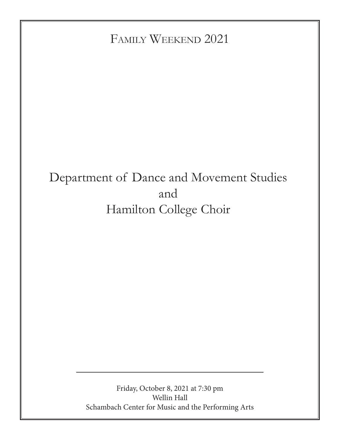## Family Weekend 2021

# Department of Dance and Movement Studies and Hamilton College Choir

Friday, October 8, 2021 at 7:30 pm Wellin Hall Schambach Center for Music and the Performing Arts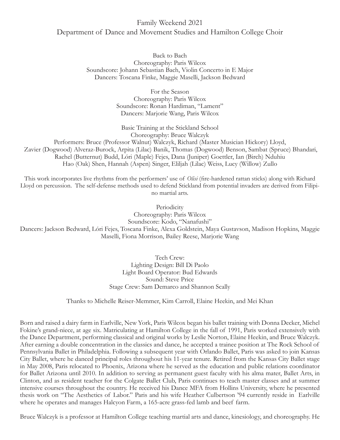### Family Weekend 2021 Department of Dance and Movement Studies and Hamilton College Choir

Back to Bach Choreography: Paris Wilcox Soundscore: Johann Sebastian Bach, Violin Concerto in E Major Dancers: Toscana Finke, Maggie Maselli, Jackson Bedward

> For the Season Choreography: Paris Wilcox Soundscore: Ronan Hardiman, "Lament" Dancers: Marjorie Wang, Paris Wilcox

Basic Training at the Stickland School Choreography: Bruce Walczyk Performers: Bruce (Professor Walnut) Walczyk, Richard (Master Musician Hickory) Lloyd, Zavier (Dogwood) Alveraz-Burock, Arpita (Lilac) Banik, Thomas (Dogwood) Benson, Sambat (Spruce) Bhandari, Rachel (Butternut) Budd, Lóri (Maple) Fejes, Dana (Juniper) Goettler, Ian (Birch) Nduhiu Hao (Oak) Shen, Hannah (Aspen) Singer, Eliljah (Lilac) Weiss, Lucy (Willow) Zullo

This work incorporates live rhythms from the performers' use of *Olisi* (fire-hardened rattan sticks) along with Richard Lloyd on percussion. The self-defense methods used to defend Stickland from potential invaders are derived from Filipino martial arts.

Periodicity Choreography: Paris Wilcox Soundscore: Kodo, "Nanafushi" Dancers: Jackson Bedward, Lóri Fejes, Toscana Finke, Alexa Goldstein, Maya Gustavson, Madison Hopkins, Maggie Maselli, Fiona Morrison, Bailey Reese, Marjorie Wang

> Tech Crew: Lighting Design: Bill Di Paolo Light Board Operator: Bud Edwards Sound: Steve Price Stage Crew: Sam Demarco and Shannon Scally

Thanks to Michelle Reiser-Memmer, Kim Carroll, Elaine Heekin, and Mei Khan

Born and raised a dairy farm in Earlville, New York, Paris Wilcox began his ballet training with Donna Decker, Michel Fokine's grand-niece, at age six. Matriculating at Hamilton College in the fall of 1991, Paris worked extensively with the Dance Department, performing classical and original works by Leslie Norton, Elaine Heekin, and Bruce Walczyk. After earning a double concentration in the classics and dance, he accepted a trainee position at The Rock School of Pennsylvania Ballet in Philadelphia. Following a subsequent year with Orlando Ballet, Paris was asked to join Kansas City Ballet, where he danced principal roles throughout his 11-year tenure. Retired from the Kansas City Ballet stage in May 2008, Paris relocated to Phoenix, Arizona where he served as the education and public relations coordinator for Ballet Arizona until 2010. In addition to serving as permanent guest faculty with his alma mater, Ballet Arts, in Clinton, and as resident teacher for the Colgate Ballet Club, Paris continues to teach master classes and at summer intensive courses throughout the country. He received his Dance MFA from Hollins University, where he presented thesis work on "The Aesthetics of Labor." Paris and his wife Heather Culbertson '94 currently reside in Earlville where he operates and manages Halcyon Farm, a 165-acre grass-fed lamb and beef farm.

Bruce Walczyk is a professor at Hamilton College teaching martial arts and dance, kinesiology, and choreography. He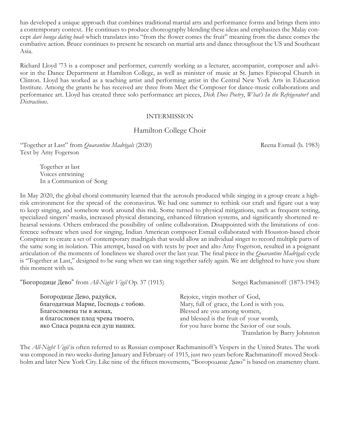has developed a unique approach that combines traditional martial arts and performance forms and brings them into a contemporary context. He continues to produce choreography blending these ideas and emphasizes the Malay concept *dari bunga dating buah* which translates into "from the flower comes the fruit" meaning from the dance comes the combative action. Bruce continues to present he research on martial arts and dance throughout the US and Southeast Asia.

Richard Lloyd '73 is a composer and performer, currently working as a lecturer, accompanist, composer and advisor in the Dance Department at Hamilton College, as well as minister of music at St. James Episcopal Church in Clinton. Lloyd has worked as a teaching artist and performing artist in the Central New York Arts in Education Institute. Among the grants he has received are three from Meet the Composer for dance-music collaborations and performance art. Lloyd has created three solo performance art pieces, *Dick Does Poetry*, *What's In the Refrigerator?* and *Distractions*.

#### INTERMISSION

#### Hamilton College Choir

"Together at Last" from *Quarantine Madrigals* (2020) Reena Esmail (b. 1983) Text by Amy Fogerson

Together at last Voices entwining In a Communion of Song

In May 2020, the global choral community learned that the aerosols produced while singing in a group create a highrisk environment for the spread of the coronavirus. We had one summer to rethink our craft and figure out a way to keep singing, and somehow work around this risk. Some turned to physical mitigations, such as frequent testing, specialized singers' masks, increased physical distancing, enhanced filtration systems, and significantly shortened rehearsal sessions. Others embraced the possibility of online collaboration. Disappointed with the limitations of conference software when used for singing, Indian American composer Esmail collaborated with Houston-based choir Conspirare to create a set of contemporary madrigals that would allow an individual singer to record multiple parts of the same song in isolation. This attempt, based on with texts by poet and alto Amy Fogerson, resulted in a poignant articulation of the moments of loneliness we shared over the last year. The final piece in the *Quarantine Madrigals* cycle is "Together at Last," designed to be sung when we can sing together safely again. We are delighted to have you share this moment with us.

"Богородице Дево" from *All-Night Vigil* Op. 37 (1915) Sergei Rachmaninoff (1873-1943)

Богородице Дево, радуйся, Rejoice, virgin mother of God, Благословена ты в женах,<br>
и благословен плод чрева твоего,<br>
and blessed is the fruit of your y

благодатная Марие, Господь с тобою. Mary, full of grace, the Lord is with you. and blessed is the fruit of your womb, яко Спаса родила еси душ наших. for you have borne the Savior of our souls. Translation by Barry Johnston

The *All-Night Vigil* is often referred to as Russian composer Rachmaninoff 's Vespers in the United States. The work was composed in two weeks during January and February of 1915, just two years before Rachmaninoff moved Stockholm and later New York City. Like nine of the fifteen movements, "Богородице Дево" is based on znamenny chant.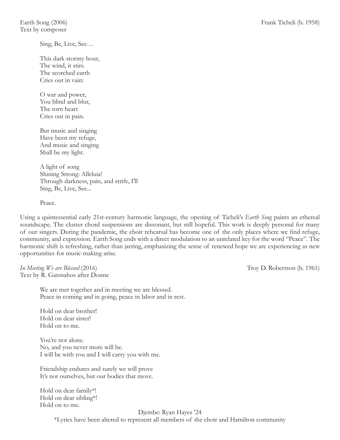Sing, Be, Live, See…

This dark stormy hour, The wind, it stirs. The scorched earth Cries out in vain:

O war and power, You blind and blur, The torn heart Cries out in pain.

But music and singing Have been my refuge, And music and singing Shall be my light.

A light of song Shining Strong: Alleluia! Through darkness, pain, and strife, I'll Sing, Be, Live, See...

Peace.

Using a quintessential early 21st-century harmonic language, the opening of Ticheli's *Earth Song* paints an ethereal soundscape. The cluster chord suspensions are dissonant, but still hopeful. This work is deeply personal for many of our singers. During the pandemic, the choir rehearsal has become one of the only places where we find refuge, community, and expression. Earth Song ends with a direct modulation to an unrelated key for the word "Peace". The harmonic shift is refreshing, rather than jarring, emphasizing the sense of renewed hope we are experiencing as new opportunities for music-making arise.

*In Meeting We are Blessed* (2016) **The Contract of Article 2016** Troy D. Robertson (b. 1961) Text by R. Gatsnahos after Donne

We are met together and in meeting we are blessed. Peace in coming and in going, peace in labor and in rest.

Hold on dear brother! Hold on dear sister! Hold on to me.

You're not alone. No, and you never more will be. I will be with you and I will carry you with me.

Friendship endures and surely we will prove It's not ourselves, but our bodies that move.

Hold on dear family\*! Hold on dear sibling\*! Hold on to me.

> Djembe: Ryan Hayes '24 \*Lyrics have been altered to represent all members of the choir and Hamilton community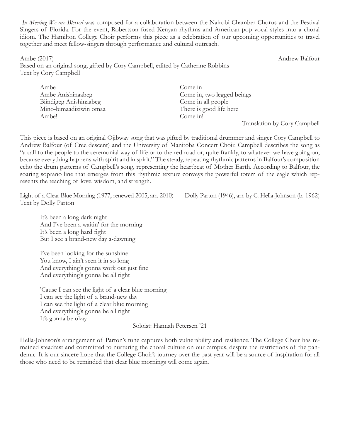*In Meeting We are Blessed* was composed for a collaboration between the Nairobi Chamber Chorus and the Festival Singers of Florida. For the event, Robertson fused Kenyan rhythms and American pop vocal styles into a choral idiom. The Hamilton College Choir performs this piece as a celebration of our upcoming opportunities to travel together and meet fellow-singers through performance and cultural outreach.

Ambe (2017) Andrew Balfour Based on an original song, gifted by Cory Campbell, edited by Catherine Robbins Text by Cory Campbell

| Ambe                   | Come in                    |
|------------------------|----------------------------|
| Ambe Anishinaabeg      | Come in, two legged beings |
| Biindigeg Anishinaabeg | Come in all people         |
| Mino-bimaadiziwin omaa | There is good life here    |
| Ambel                  | Come in!                   |

Translation by Cory Campbell

This piece is based on an original Ojibway song that was gifted by traditional drummer and singer Cory Campbell to Andrew Balfour (of Cree descent) and the University of Manitoba Concert Choir. Campbell describes the song as "a call to the people to the ceremonial way of life or to the red road or, quite frankly, to whatever we have going on, because everything happens with spirit and in spirit." The steady, repeating rhythmic patterns in Balfour's composition echo the drum patterns of Campbell's song, representing the heartbeat of Mother Earth. According to Balfour, the soaring soprano line that emerges from this rhythmic texture conveys the powerful totem of the eagle which represents the teaching of love, wisdom, and strength.

Light of a Clear Blue Morning (1977, renewed 2005, arr. 2010) Dolly Parton (1946), arr. by C. Hella-Johnson (b. 1962) Text by Dolly Parton

It's been a long dark night And I've been a waitin' for the morning It's been a long hard fight But I see a brand-new day a-dawning

I've been looking for the sunshine You know, I ain't seen it in so long And everything's gonna work out just fine And everything's gonna be all right

'Cause I can see the light of a clear blue morning I can see the light of a brand-new day I can see the light of a clear blue morning And everything's gonna be all right It's gonna be okay

Soloist: Hannah Petersen '21

Hella-Johnson's arrangement of Parton's tune captures both vulnerability and resilience. The College Choir has remained steadfast and committed to nurturing the choral culture on our campus, despite the restrictions of the pandemic. It is our sincere hope that the College Choir's journey over the past year will be a source of inspiration for all those who need to be reminded that clear blue mornings will come again.